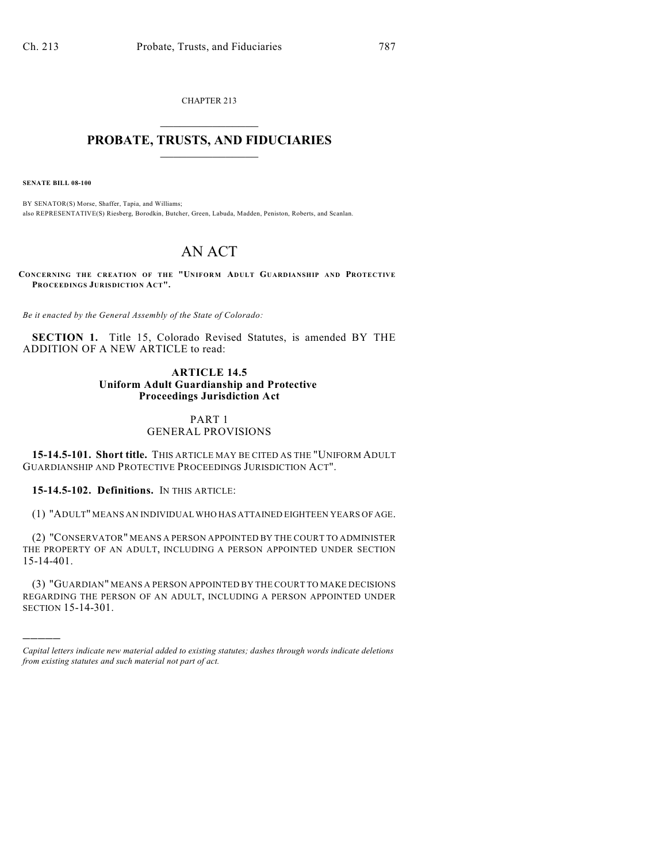CHAPTER 213  $\overline{\phantom{a}}$  . The set of the set of the set of the set of the set of the set of the set of the set of the set of the set of the set of the set of the set of the set of the set of the set of the set of the set of the set o

# **PROBATE, TRUSTS, AND FIDUCIARIES**  $\overline{\phantom{a}}$

**SENATE BILL 08-100**

)))))

BY SENATOR(S) Morse, Shaffer, Tapia, and Williams; also REPRESENTATIVE(S) Riesberg, Borodkin, Butcher, Green, Labuda, Madden, Peniston, Roberts, and Scanlan.

# AN ACT

**CONCERNING THE CREATION OF THE "UNIFORM ADULT GUARDIANSHIP AND PROTECTIVE PROCEEDINGS JURISDICTION ACT".**

*Be it enacted by the General Assembly of the State of Colorado:*

**SECTION 1.** Title 15, Colorado Revised Statutes, is amended BY THE ADDITION OF A NEW ARTICLE to read:

## **ARTICLE 14.5 Uniform Adult Guardianship and Protective Proceedings Jurisdiction Act**

# PART 1 GENERAL PROVISIONS

**15-14.5-101. Short title.** THIS ARTICLE MAY BE CITED AS THE "UNIFORM ADULT GUARDIANSHIP AND PROTECTIVE PROCEEDINGS JURISDICTION ACT".

**15-14.5-102. Definitions.** IN THIS ARTICLE:

(1) "ADULT" MEANS AN INDIVIDUAL WHO HAS ATTAINED EIGHTEEN YEARS OF AGE.

(2) "CONSERVATOR" MEANS A PERSON APPOINTED BY THE COURT TO ADMINISTER THE PROPERTY OF AN ADULT, INCLUDING A PERSON APPOINTED UNDER SECTION 15-14-401.

(3) "GUARDIAN" MEANS A PERSON APPOINTED BY THE COURT TO MAKE DECISIONS REGARDING THE PERSON OF AN ADULT, INCLUDING A PERSON APPOINTED UNDER SECTION 15-14-301.

*Capital letters indicate new material added to existing statutes; dashes through words indicate deletions from existing statutes and such material not part of act.*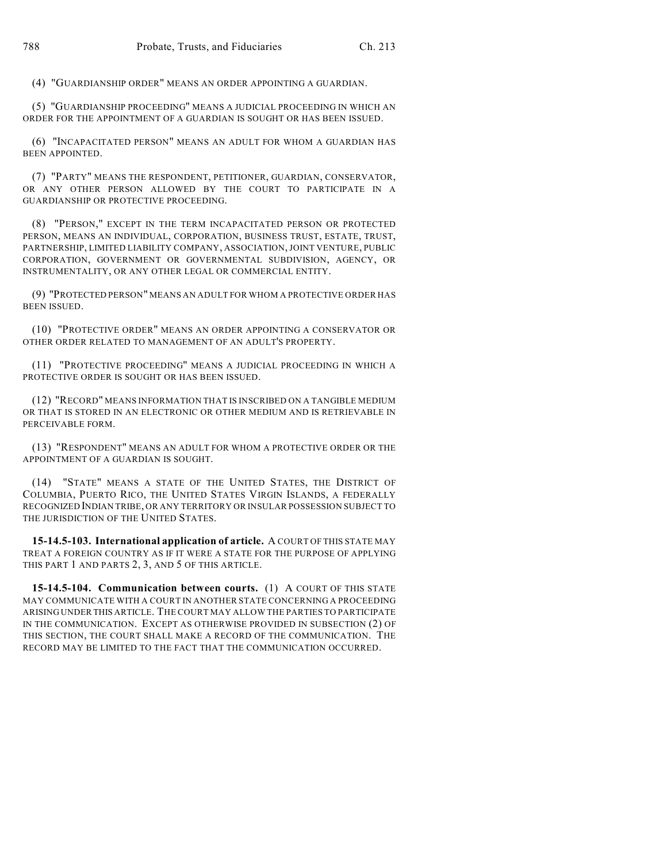(4) "GUARDIANSHIP ORDER" MEANS AN ORDER APPOINTING A GUARDIAN.

(5) "GUARDIANSHIP PROCEEDING" MEANS A JUDICIAL PROCEEDING IN WHICH AN ORDER FOR THE APPOINTMENT OF A GUARDIAN IS SOUGHT OR HAS BEEN ISSUED.

(6) "INCAPACITATED PERSON" MEANS AN ADULT FOR WHOM A GUARDIAN HAS BEEN APPOINTED.

(7) "PARTY" MEANS THE RESPONDENT, PETITIONER, GUARDIAN, CONSERVATOR, OR ANY OTHER PERSON ALLOWED BY THE COURT TO PARTICIPATE IN A GUARDIANSHIP OR PROTECTIVE PROCEEDING.

(8) "PERSON," EXCEPT IN THE TERM INCAPACITATED PERSON OR PROTECTED PERSON, MEANS AN INDIVIDUAL, CORPORATION, BUSINESS TRUST, ESTATE, TRUST, PARTNERSHIP, LIMITED LIABILITY COMPANY, ASSOCIATION, JOINT VENTURE, PUBLIC CORPORATION, GOVERNMENT OR GOVERNMENTAL SUBDIVISION, AGENCY, OR INSTRUMENTALITY, OR ANY OTHER LEGAL OR COMMERCIAL ENTITY.

(9) "PROTECTED PERSON" MEANS AN ADULT FOR WHOM A PROTECTIVE ORDER HAS BEEN ISSUED.

(10) "PROTECTIVE ORDER" MEANS AN ORDER APPOINTING A CONSERVATOR OR OTHER ORDER RELATED TO MANAGEMENT OF AN ADULT'S PROPERTY.

(11) "PROTECTIVE PROCEEDING" MEANS A JUDICIAL PROCEEDING IN WHICH A PROTECTIVE ORDER IS SOUGHT OR HAS BEEN ISSUED.

(12) "RECORD" MEANS INFORMATION THAT IS INSCRIBED ON A TANGIBLE MEDIUM OR THAT IS STORED IN AN ELECTRONIC OR OTHER MEDIUM AND IS RETRIEVABLE IN PERCEIVABLE FORM.

(13) "RESPONDENT" MEANS AN ADULT FOR WHOM A PROTECTIVE ORDER OR THE APPOINTMENT OF A GUARDIAN IS SOUGHT.

(14) "STATE" MEANS A STATE OF THE UNITED STATES, THE DISTRICT OF COLUMBIA, PUERTO RICO, THE UNITED STATES VIRGIN ISLANDS, A FEDERALLY RECOGNIZED INDIAN TRIBE, OR ANY TERRITORY OR INSULAR POSSESSION SUBJECT TO THE JURISDICTION OF THE UNITED STATES.

**15-14.5-103. International application of article.** A COURT OF THIS STATE MAY TREAT A FOREIGN COUNTRY AS IF IT WERE A STATE FOR THE PURPOSE OF APPLYING THIS PART 1 AND PARTS 2, 3, AND 5 OF THIS ARTICLE.

**15-14.5-104. Communication between courts.** (1) A COURT OF THIS STATE MAY COMMUNICATE WITH A COURT IN ANOTHER STATE CONCERNING A PROCEEDING ARISING UNDER THIS ARTICLE. THE COURT MAY ALLOW THE PARTIES TO PARTICIPATE IN THE COMMUNICATION. EXCEPT AS OTHERWISE PROVIDED IN SUBSECTION (2) OF THIS SECTION, THE COURT SHALL MAKE A RECORD OF THE COMMUNICATION. THE RECORD MAY BE LIMITED TO THE FACT THAT THE COMMUNICATION OCCURRED.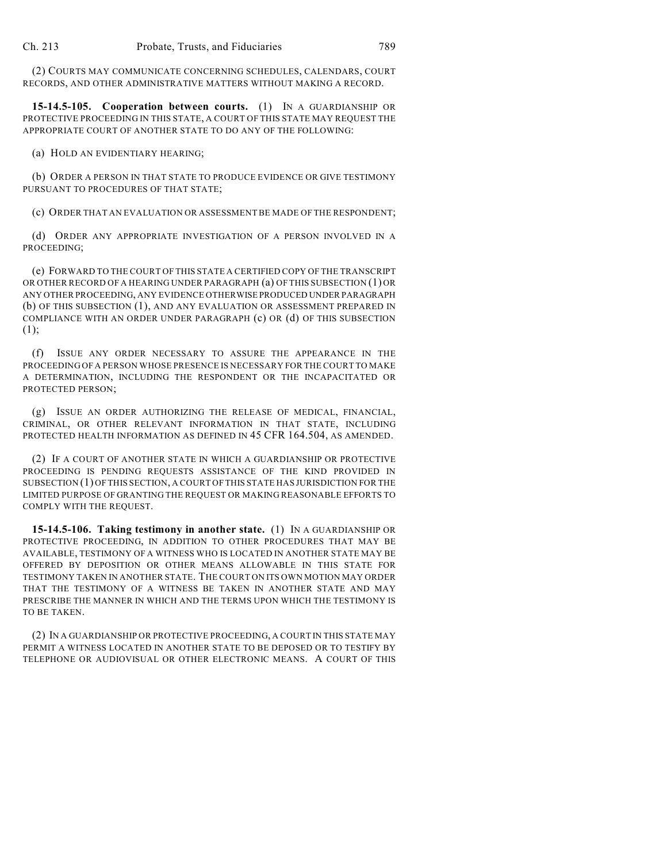(2) COURTS MAY COMMUNICATE CONCERNING SCHEDULES, CALENDARS, COURT RECORDS, AND OTHER ADMINISTRATIVE MATTERS WITHOUT MAKING A RECORD.

**15-14.5-105. Cooperation between courts.** (1) IN A GUARDIANSHIP OR PROTECTIVE PROCEEDING IN THIS STATE, A COURT OF THIS STATE MAY REQUEST THE APPROPRIATE COURT OF ANOTHER STATE TO DO ANY OF THE FOLLOWING:

(a) HOLD AN EVIDENTIARY HEARING;

(b) ORDER A PERSON IN THAT STATE TO PRODUCE EVIDENCE OR GIVE TESTIMONY PURSUANT TO PROCEDURES OF THAT STATE;

(c) ORDER THAT AN EVALUATION OR ASSESSMENT BE MADE OF THE RESPONDENT;

(d) ORDER ANY APPROPRIATE INVESTIGATION OF A PERSON INVOLVED IN A PROCEEDING;

(e) FORWARD TO THE COURT OF THIS STATE A CERTIFIED COPY OF THE TRANSCRIPT OR OTHER RECORD OF A HEARING UNDER PARAGRAPH (a) OF THIS SUBSECTION (1) OR ANY OTHER PROCEEDING, ANY EVIDENCE OTHERWISE PRODUCED UNDER PARAGRAPH (b) OF THIS SUBSECTION (1), AND ANY EVALUATION OR ASSESSMENT PREPARED IN COMPLIANCE WITH AN ORDER UNDER PARAGRAPH (c) OR (d) OF THIS SUBSECTION (1);

(f) ISSUE ANY ORDER NECESSARY TO ASSURE THE APPEARANCE IN THE PROCEEDING OF A PERSON WHOSE PRESENCE IS NECESSARY FOR THE COURT TO MAKE A DETERMINATION, INCLUDING THE RESPONDENT OR THE INCAPACITATED OR PROTECTED PERSON;

(g) ISSUE AN ORDER AUTHORIZING THE RELEASE OF MEDICAL, FINANCIAL, CRIMINAL, OR OTHER RELEVANT INFORMATION IN THAT STATE, INCLUDING PROTECTED HEALTH INFORMATION AS DEFINED IN 45 CFR 164.504, AS AMENDED.

(2) IF A COURT OF ANOTHER STATE IN WHICH A GUARDIANSHIP OR PROTECTIVE PROCEEDING IS PENDING REQUESTS ASSISTANCE OF THE KIND PROVIDED IN SUBSECTION (1) OF THIS SECTION, A COURT OF THIS STATE HAS JURISDICTION FOR THE LIMITED PURPOSE OF GRANTING THE REQUEST OR MAKING REASONABLE EFFORTS TO COMPLY WITH THE REQUEST.

**15-14.5-106. Taking testimony in another state.** (1) IN A GUARDIANSHIP OR PROTECTIVE PROCEEDING, IN ADDITION TO OTHER PROCEDURES THAT MAY BE AVAILABLE, TESTIMONY OF A WITNESS WHO IS LOCATED IN ANOTHER STATE MAY BE OFFERED BY DEPOSITION OR OTHER MEANS ALLOWABLE IN THIS STATE FOR TESTIMONY TAKEN IN ANOTHER STATE. THE COURT ON ITS OWN MOTION MAY ORDER THAT THE TESTIMONY OF A WITNESS BE TAKEN IN ANOTHER STATE AND MAY PRESCRIBE THE MANNER IN WHICH AND THE TERMS UPON WHICH THE TESTIMONY IS TO BE TAKEN.

(2) IN A GUARDIANSHIP OR PROTECTIVE PROCEEDING, A COURT IN THIS STATE MAY PERMIT A WITNESS LOCATED IN ANOTHER STATE TO BE DEPOSED OR TO TESTIFY BY TELEPHONE OR AUDIOVISUAL OR OTHER ELECTRONIC MEANS. A COURT OF THIS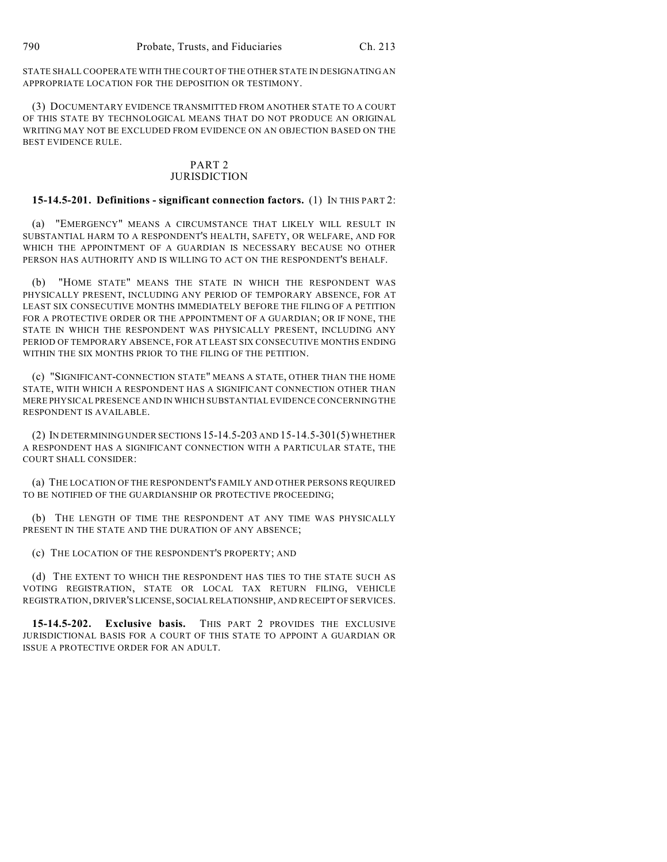STATE SHALL COOPERATE WITH THE COURT OF THE OTHER STATE IN DESIGNATING AN APPROPRIATE LOCATION FOR THE DEPOSITION OR TESTIMONY.

(3) DOCUMENTARY EVIDENCE TRANSMITTED FROM ANOTHER STATE TO A COURT OF THIS STATE BY TECHNOLOGICAL MEANS THAT DO NOT PRODUCE AN ORIGINAL WRITING MAY NOT BE EXCLUDED FROM EVIDENCE ON AN OBJECTION BASED ON THE BEST EVIDENCE RULE.

#### PART 2 JURISDICTION

#### **15-14.5-201. Definitions - significant connection factors.** (1) IN THIS PART 2:

(a) "EMERGENCY" MEANS A CIRCUMSTANCE THAT LIKELY WILL RESULT IN SUBSTANTIAL HARM TO A RESPONDENT'S HEALTH, SAFETY, OR WELFARE, AND FOR WHICH THE APPOINTMENT OF A GUARDIAN IS NECESSARY BECAUSE NO OTHER PERSON HAS AUTHORITY AND IS WILLING TO ACT ON THE RESPONDENT'S BEHALF.

(b) "HOME STATE" MEANS THE STATE IN WHICH THE RESPONDENT WAS PHYSICALLY PRESENT, INCLUDING ANY PERIOD OF TEMPORARY ABSENCE, FOR AT LEAST SIX CONSECUTIVE MONTHS IMMEDIATELY BEFORE THE FILING OF A PETITION FOR A PROTECTIVE ORDER OR THE APPOINTMENT OF A GUARDIAN; OR IF NONE, THE STATE IN WHICH THE RESPONDENT WAS PHYSICALLY PRESENT, INCLUDING ANY PERIOD OF TEMPORARY ABSENCE, FOR AT LEAST SIX CONSECUTIVE MONTHS ENDING WITHIN THE SIX MONTHS PRIOR TO THE FILING OF THE PETITION.

(c) "SIGNIFICANT-CONNECTION STATE" MEANS A STATE, OTHER THAN THE HOME STATE, WITH WHICH A RESPONDENT HAS A SIGNIFICANT CONNECTION OTHER THAN MERE PHYSICAL PRESENCE AND IN WHICH SUBSTANTIAL EVIDENCE CONCERNING THE RESPONDENT IS AVAILABLE.

(2) IN DETERMINING UNDER SECTIONS 15-14.5-203 AND 15-14.5-301(5) WHETHER A RESPONDENT HAS A SIGNIFICANT CONNECTION WITH A PARTICULAR STATE, THE COURT SHALL CONSIDER:

(a) THE LOCATION OF THE RESPONDENT'S FAMILY AND OTHER PERSONS REQUIRED TO BE NOTIFIED OF THE GUARDIANSHIP OR PROTECTIVE PROCEEDING;

(b) THE LENGTH OF TIME THE RESPONDENT AT ANY TIME WAS PHYSICALLY PRESENT IN THE STATE AND THE DURATION OF ANY ABSENCE:

(c) THE LOCATION OF THE RESPONDENT'S PROPERTY; AND

(d) THE EXTENT TO WHICH THE RESPONDENT HAS TIES TO THE STATE SUCH AS VOTING REGISTRATION, STATE OR LOCAL TAX RETURN FILING, VEHICLE REGISTRATION, DRIVER'S LICENSE, SOCIAL RELATIONSHIP, AND RECEIPT OF SERVICES.

**15-14.5-202. Exclusive basis.** THIS PART 2 PROVIDES THE EXCLUSIVE JURISDICTIONAL BASIS FOR A COURT OF THIS STATE TO APPOINT A GUARDIAN OR ISSUE A PROTECTIVE ORDER FOR AN ADULT.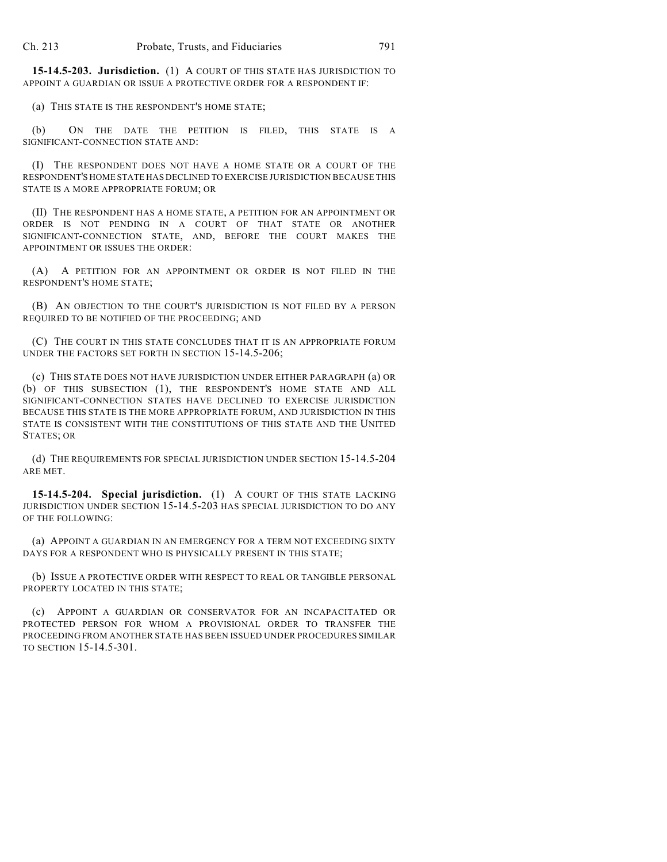**15-14.5-203. Jurisdiction.** (1) A COURT OF THIS STATE HAS JURISDICTION TO APPOINT A GUARDIAN OR ISSUE A PROTECTIVE ORDER FOR A RESPONDENT IF:

(a) THIS STATE IS THE RESPONDENT'S HOME STATE;

(b) ON THE DATE THE PETITION IS FILED, THIS STATE IS A SIGNIFICANT-CONNECTION STATE AND:

(I) THE RESPONDENT DOES NOT HAVE A HOME STATE OR A COURT OF THE RESPONDENT'S HOME STATE HAS DECLINED TO EXERCISE JURISDICTION BECAUSE THIS STATE IS A MORE APPROPRIATE FORUM; OR

(II) THE RESPONDENT HAS A HOME STATE, A PETITION FOR AN APPOINTMENT OR ORDER IS NOT PENDING IN A COURT OF THAT STATE OR ANOTHER SIGNIFICANT-CONNECTION STATE, AND, BEFORE THE COURT MAKES THE APPOINTMENT OR ISSUES THE ORDER:

(A) A PETITION FOR AN APPOINTMENT OR ORDER IS NOT FILED IN THE RESPONDENT'S HOME STATE;

(B) AN OBJECTION TO THE COURT'S JURISDICTION IS NOT FILED BY A PERSON REQUIRED TO BE NOTIFIED OF THE PROCEEDING; AND

(C) THE COURT IN THIS STATE CONCLUDES THAT IT IS AN APPROPRIATE FORUM UNDER THE FACTORS SET FORTH IN SECTION 15-14.5-206;

(c) THIS STATE DOES NOT HAVE JURISDICTION UNDER EITHER PARAGRAPH (a) OR (b) OF THIS SUBSECTION (1), THE RESPONDENT'S HOME STATE AND ALL SIGNIFICANT-CONNECTION STATES HAVE DECLINED TO EXERCISE JURISDICTION BECAUSE THIS STATE IS THE MORE APPROPRIATE FORUM, AND JURISDICTION IN THIS STATE IS CONSISTENT WITH THE CONSTITUTIONS OF THIS STATE AND THE UNITED STATES; OR

(d) THE REQUIREMENTS FOR SPECIAL JURISDICTION UNDER SECTION 15-14.5-204 ARE MET.

**15-14.5-204. Special jurisdiction.** (1) A COURT OF THIS STATE LACKING JURISDICTION UNDER SECTION 15-14.5-203 HAS SPECIAL JURISDICTION TO DO ANY OF THE FOLLOWING:

(a) APPOINT A GUARDIAN IN AN EMERGENCY FOR A TERM NOT EXCEEDING SIXTY DAYS FOR A RESPONDENT WHO IS PHYSICALLY PRESENT IN THIS STATE;

(b) ISSUE A PROTECTIVE ORDER WITH RESPECT TO REAL OR TANGIBLE PERSONAL PROPERTY LOCATED IN THIS STATE;

(c) APPOINT A GUARDIAN OR CONSERVATOR FOR AN INCAPACITATED OR PROTECTED PERSON FOR WHOM A PROVISIONAL ORDER TO TRANSFER THE PROCEEDING FROM ANOTHER STATE HAS BEEN ISSUED UNDER PROCEDURES SIMILAR TO SECTION 15-14.5-301.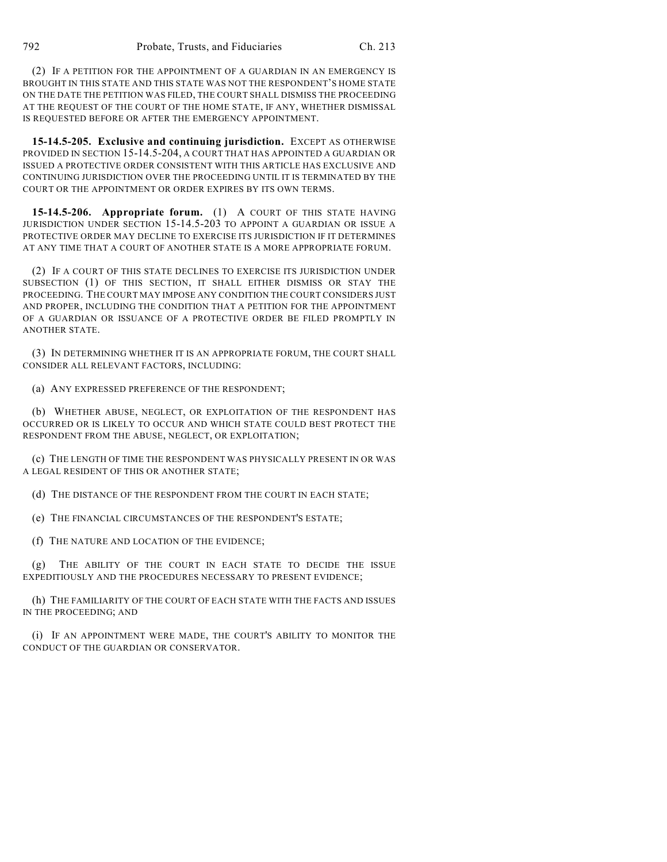(2) IF A PETITION FOR THE APPOINTMENT OF A GUARDIAN IN AN EMERGENCY IS BROUGHT IN THIS STATE AND THIS STATE WAS NOT THE RESPONDENT'S HOME STATE ON THE DATE THE PETITION WAS FILED, THE COURT SHALL DISMISS THE PROCEEDING AT THE REQUEST OF THE COURT OF THE HOME STATE, IF ANY, WHETHER DISMISSAL IS REQUESTED BEFORE OR AFTER THE EMERGENCY APPOINTMENT.

**15-14.5-205. Exclusive and continuing jurisdiction.** EXCEPT AS OTHERWISE PROVIDED IN SECTION 15-14.5-204, A COURT THAT HAS APPOINTED A GUARDIAN OR ISSUED A PROTECTIVE ORDER CONSISTENT WITH THIS ARTICLE HAS EXCLUSIVE AND CONTINUING JURISDICTION OVER THE PROCEEDING UNTIL IT IS TERMINATED BY THE COURT OR THE APPOINTMENT OR ORDER EXPIRES BY ITS OWN TERMS.

**15-14.5-206. Appropriate forum.** (1) A COURT OF THIS STATE HAVING JURISDICTION UNDER SECTION 15-14.5-203 TO APPOINT A GUARDIAN OR ISSUE A PROTECTIVE ORDER MAY DECLINE TO EXERCISE ITS JURISDICTION IF IT DETERMINES AT ANY TIME THAT A COURT OF ANOTHER STATE IS A MORE APPROPRIATE FORUM.

(2) IF A COURT OF THIS STATE DECLINES TO EXERCISE ITS JURISDICTION UNDER SUBSECTION (1) OF THIS SECTION, IT SHALL EITHER DISMISS OR STAY THE PROCEEDING. THE COURT MAY IMPOSE ANY CONDITION THE COURT CONSIDERS JUST AND PROPER, INCLUDING THE CONDITION THAT A PETITION FOR THE APPOINTMENT OF A GUARDIAN OR ISSUANCE OF A PROTECTIVE ORDER BE FILED PROMPTLY IN ANOTHER STATE.

(3) IN DETERMINING WHETHER IT IS AN APPROPRIATE FORUM, THE COURT SHALL CONSIDER ALL RELEVANT FACTORS, INCLUDING:

(a) ANY EXPRESSED PREFERENCE OF THE RESPONDENT;

(b) WHETHER ABUSE, NEGLECT, OR EXPLOITATION OF THE RESPONDENT HAS OCCURRED OR IS LIKELY TO OCCUR AND WHICH STATE COULD BEST PROTECT THE RESPONDENT FROM THE ABUSE, NEGLECT, OR EXPLOITATION;

(c) THE LENGTH OF TIME THE RESPONDENT WAS PHYSICALLY PRESENT IN OR WAS A LEGAL RESIDENT OF THIS OR ANOTHER STATE;

(d) THE DISTANCE OF THE RESPONDENT FROM THE COURT IN EACH STATE;

(e) THE FINANCIAL CIRCUMSTANCES OF THE RESPONDENT'S ESTATE;

(f) THE NATURE AND LOCATION OF THE EVIDENCE;

(g) THE ABILITY OF THE COURT IN EACH STATE TO DECIDE THE ISSUE EXPEDITIOUSLY AND THE PROCEDURES NECESSARY TO PRESENT EVIDENCE;

(h) THE FAMILIARITY OF THE COURT OF EACH STATE WITH THE FACTS AND ISSUES IN THE PROCEEDING; AND

(i) IF AN APPOINTMENT WERE MADE, THE COURT'S ABILITY TO MONITOR THE CONDUCT OF THE GUARDIAN OR CONSERVATOR.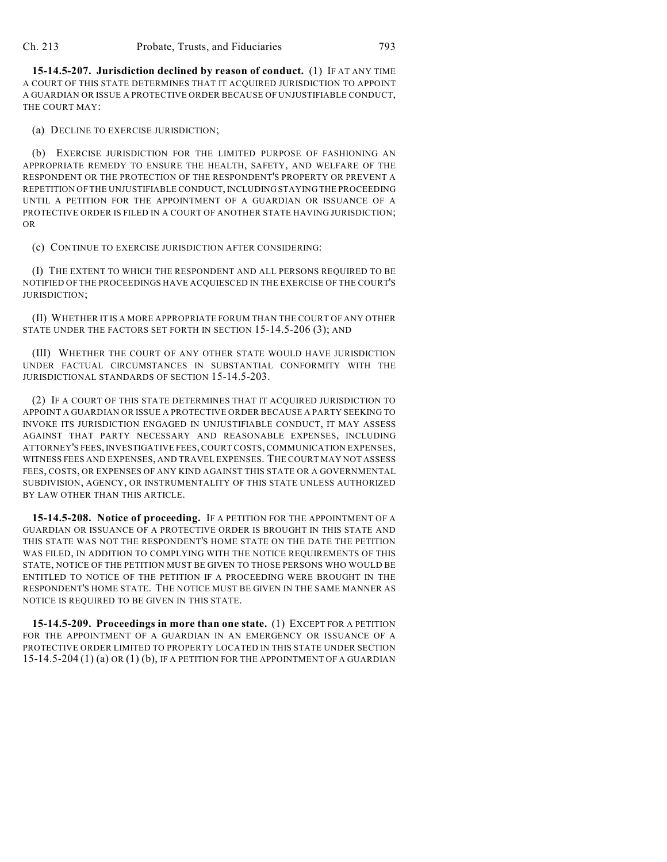**15-14.5-207. Jurisdiction declined by reason of conduct.** (1) IF AT ANY TIME A COURT OF THIS STATE DETERMINES THAT IT ACQUIRED JURISDICTION TO APPOINT A GUARDIAN OR ISSUE A PROTECTIVE ORDER BECAUSE OF UNJUSTIFIABLE CONDUCT, THE COURT MAY:

(a) DECLINE TO EXERCISE JURISDICTION;

(b) EXERCISE JURISDICTION FOR THE LIMITED PURPOSE OF FASHIONING AN APPROPRIATE REMEDY TO ENSURE THE HEALTH, SAFETY, AND WELFARE OF THE RESPONDENT OR THE PROTECTION OF THE RESPONDENT'S PROPERTY OR PREVENT A REPETITION OF THE UNJUSTIFIABLE CONDUCT, INCLUDING STAYING THE PROCEEDING UNTIL A PETITION FOR THE APPOINTMENT OF A GUARDIAN OR ISSUANCE OF A PROTECTIVE ORDER IS FILED IN A COURT OF ANOTHER STATE HAVING JURISDICTION; OR

(c) CONTINUE TO EXERCISE JURISDICTION AFTER CONSIDERING:

(I) THE EXTENT TO WHICH THE RESPONDENT AND ALL PERSONS REQUIRED TO BE NOTIFIED OF THE PROCEEDINGS HAVE ACQUIESCED IN THE EXERCISE OF THE COURT'S JURISDICTION;

(II) WHETHER IT IS A MORE APPROPRIATE FORUM THAN THE COURT OF ANY OTHER STATE UNDER THE FACTORS SET FORTH IN SECTION 15-14.5-206 (3); AND

(III) WHETHER THE COURT OF ANY OTHER STATE WOULD HAVE JURISDICTION UNDER FACTUAL CIRCUMSTANCES IN SUBSTANTIAL CONFORMITY WITH THE JURISDICTIONAL STANDARDS OF SECTION 15-14.5-203.

(2) IF A COURT OF THIS STATE DETERMINES THAT IT ACQUIRED JURISDICTION TO APPOINT A GUARDIAN OR ISSUE A PROTECTIVE ORDER BECAUSE A PARTY SEEKING TO INVOKE ITS JURISDICTION ENGAGED IN UNJUSTIFIABLE CONDUCT, IT MAY ASSESS AGAINST THAT PARTY NECESSARY AND REASONABLE EXPENSES, INCLUDING ATTORNEY'S FEES, INVESTIGATIVE FEES, COURT COSTS, COMMUNICATION EXPENSES, WITNESS FEES AND EXPENSES, AND TRAVEL EXPENSES. THE COURT MAY NOT ASSESS FEES, COSTS, OR EXPENSES OF ANY KIND AGAINST THIS STATE OR A GOVERNMENTAL SUBDIVISION, AGENCY, OR INSTRUMENTALITY OF THIS STATE UNLESS AUTHORIZED BY LAW OTHER THAN THIS ARTICLE.

**15-14.5-208. Notice of proceeding.** IF A PETITION FOR THE APPOINTMENT OF A GUARDIAN OR ISSUANCE OF A PROTECTIVE ORDER IS BROUGHT IN THIS STATE AND THIS STATE WAS NOT THE RESPONDENT'S HOME STATE ON THE DATE THE PETITION WAS FILED, IN ADDITION TO COMPLYING WITH THE NOTICE REQUIREMENTS OF THIS STATE, NOTICE OF THE PETITION MUST BE GIVEN TO THOSE PERSONS WHO WOULD BE ENTITLED TO NOTICE OF THE PETITION IF A PROCEEDING WERE BROUGHT IN THE RESPONDENT'S HOME STATE. THE NOTICE MUST BE GIVEN IN THE SAME MANNER AS NOTICE IS REQUIRED TO BE GIVEN IN THIS STATE.

**15-14.5-209. Proceedings in more than one state.** (1) EXCEPT FOR A PETITION FOR THE APPOINTMENT OF A GUARDIAN IN AN EMERGENCY OR ISSUANCE OF A PROTECTIVE ORDER LIMITED TO PROPERTY LOCATED IN THIS STATE UNDER SECTION 15-14.5-204 (1) (a) OR (1) (b), IF A PETITION FOR THE APPOINTMENT OF A GUARDIAN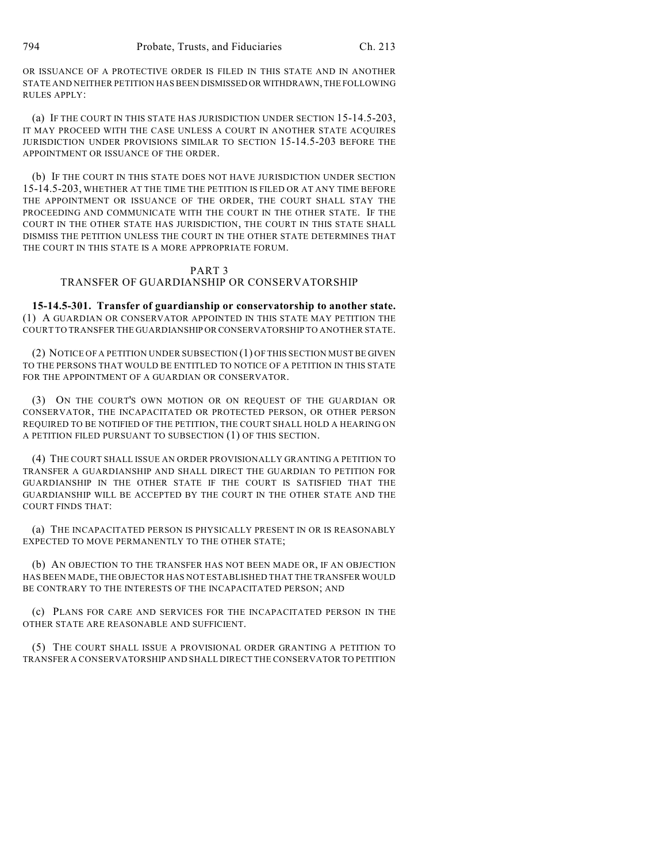OR ISSUANCE OF A PROTECTIVE ORDER IS FILED IN THIS STATE AND IN ANOTHER STATE AND NEITHER PETITION HAS BEEN DISMISSED OR WITHDRAWN, THE FOLLOWING RULES APPLY:

(a) IF THE COURT IN THIS STATE HAS JURISDICTION UNDER SECTION 15-14.5-203, IT MAY PROCEED WITH THE CASE UNLESS A COURT IN ANOTHER STATE ACQUIRES JURISDICTION UNDER PROVISIONS SIMILAR TO SECTION 15-14.5-203 BEFORE THE APPOINTMENT OR ISSUANCE OF THE ORDER.

(b) IF THE COURT IN THIS STATE DOES NOT HAVE JURISDICTION UNDER SECTION 15-14.5-203, WHETHER AT THE TIME THE PETITION IS FILED OR AT ANY TIME BEFORE THE APPOINTMENT OR ISSUANCE OF THE ORDER, THE COURT SHALL STAY THE PROCEEDING AND COMMUNICATE WITH THE COURT IN THE OTHER STATE. IF THE COURT IN THE OTHER STATE HAS JURISDICTION, THE COURT IN THIS STATE SHALL DISMISS THE PETITION UNLESS THE COURT IN THE OTHER STATE DETERMINES THAT THE COURT IN THIS STATE IS A MORE APPROPRIATE FORUM.

#### PART 3 TRANSFER OF GUARDIANSHIP OR CONSERVATORSHIP

**15-14.5-301. Transfer of guardianship or conservatorship to another state.** (1) A GUARDIAN OR CONSERVATOR APPOINTED IN THIS STATE MAY PETITION THE COURT TO TRANSFER THE GUARDIANSHIP OR CONSERVATORSHIP TO ANOTHER STATE.

(2) NOTICE OF A PETITION UNDER SUBSECTION (1) OF THIS SECTION MUST BE GIVEN TO THE PERSONS THAT WOULD BE ENTITLED TO NOTICE OF A PETITION IN THIS STATE FOR THE APPOINTMENT OF A GUARDIAN OR CONSERVATOR.

(3) ON THE COURT'S OWN MOTION OR ON REQUEST OF THE GUARDIAN OR CONSERVATOR, THE INCAPACITATED OR PROTECTED PERSON, OR OTHER PERSON REQUIRED TO BE NOTIFIED OF THE PETITION, THE COURT SHALL HOLD A HEARING ON A PETITION FILED PURSUANT TO SUBSECTION (1) OF THIS SECTION.

(4) THE COURT SHALL ISSUE AN ORDER PROVISIONALLY GRANTING A PETITION TO TRANSFER A GUARDIANSHIP AND SHALL DIRECT THE GUARDIAN TO PETITION FOR GUARDIANSHIP IN THE OTHER STATE IF THE COURT IS SATISFIED THAT THE GUARDIANSHIP WILL BE ACCEPTED BY THE COURT IN THE OTHER STATE AND THE COURT FINDS THAT:

(a) THE INCAPACITATED PERSON IS PHYSICALLY PRESENT IN OR IS REASONABLY EXPECTED TO MOVE PERMANENTLY TO THE OTHER STATE;

(b) AN OBJECTION TO THE TRANSFER HAS NOT BEEN MADE OR, IF AN OBJECTION HAS BEEN MADE, THE OBJECTOR HAS NOT ESTABLISHED THAT THE TRANSFER WOULD BE CONTRARY TO THE INTERESTS OF THE INCAPACITATED PERSON; AND

(c) PLANS FOR CARE AND SERVICES FOR THE INCAPACITATED PERSON IN THE OTHER STATE ARE REASONABLE AND SUFFICIENT.

(5) THE COURT SHALL ISSUE A PROVISIONAL ORDER GRANTING A PETITION TO TRANSFER A CONSERVATORSHIP AND SHALL DIRECT THE CONSERVATOR TO PETITION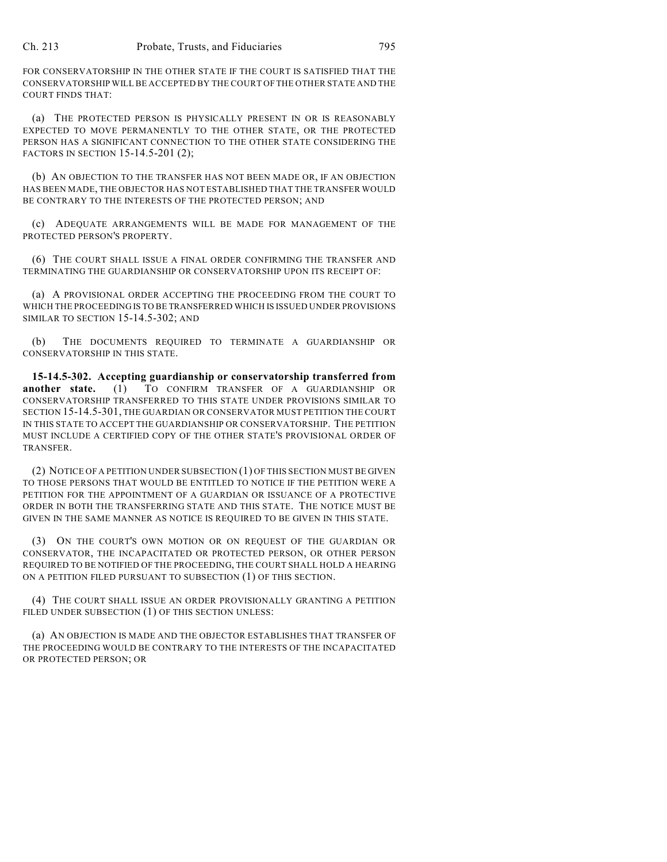FOR CONSERVATORSHIP IN THE OTHER STATE IF THE COURT IS SATISFIED THAT THE CONSERVATORSHIP WILL BE ACCEPTED BY THE COURT OF THE OTHER STATE AND THE COURT FINDS THAT:

(a) THE PROTECTED PERSON IS PHYSICALLY PRESENT IN OR IS REASONABLY EXPECTED TO MOVE PERMANENTLY TO THE OTHER STATE, OR THE PROTECTED PERSON HAS A SIGNIFICANT CONNECTION TO THE OTHER STATE CONSIDERING THE FACTORS IN SECTION 15-14.5-201 (2);

(b) AN OBJECTION TO THE TRANSFER HAS NOT BEEN MADE OR, IF AN OBJECTION HAS BEEN MADE, THE OBJECTOR HAS NOT ESTABLISHED THAT THE TRANSFER WOULD BE CONTRARY TO THE INTERESTS OF THE PROTECTED PERSON; AND

(c) ADEQUATE ARRANGEMENTS WILL BE MADE FOR MANAGEMENT OF THE PROTECTED PERSON'S PROPERTY.

(6) THE COURT SHALL ISSUE A FINAL ORDER CONFIRMING THE TRANSFER AND TERMINATING THE GUARDIANSHIP OR CONSERVATORSHIP UPON ITS RECEIPT OF:

(a) A PROVISIONAL ORDER ACCEPTING THE PROCEEDING FROM THE COURT TO WHICH THE PROCEEDING IS TO BE TRANSFERRED WHICH IS ISSUED UNDER PROVISIONS SIMILAR TO SECTION 15-14.5-302; AND

(b) THE DOCUMENTS REQUIRED TO TERMINATE A GUARDIANSHIP OR CONSERVATORSHIP IN THIS STATE.

**15-14.5-302. Accepting guardianship or conservatorship transferred from** another state. (1) TO CONFIRM TRANSFER OF A GUARDIANSHIP OR CONSERVATORSHIP TRANSFERRED TO THIS STATE UNDER PROVISIONS SIMILAR TO SECTION 15-14.5-301, THE GUARDIAN OR CONSERVATOR MUST PETITION THE COURT IN THIS STATE TO ACCEPT THE GUARDIANSHIP OR CONSERVATORSHIP. THE PETITION MUST INCLUDE A CERTIFIED COPY OF THE OTHER STATE'S PROVISIONAL ORDER OF TRANSFER.

(2) NOTICE OF A PETITION UNDER SUBSECTION (1) OF THIS SECTION MUST BE GIVEN TO THOSE PERSONS THAT WOULD BE ENTITLED TO NOTICE IF THE PETITION WERE A PETITION FOR THE APPOINTMENT OF A GUARDIAN OR ISSUANCE OF A PROTECTIVE ORDER IN BOTH THE TRANSFERRING STATE AND THIS STATE. THE NOTICE MUST BE GIVEN IN THE SAME MANNER AS NOTICE IS REQUIRED TO BE GIVEN IN THIS STATE.

(3) ON THE COURT'S OWN MOTION OR ON REQUEST OF THE GUARDIAN OR CONSERVATOR, THE INCAPACITATED OR PROTECTED PERSON, OR OTHER PERSON REQUIRED TO BE NOTIFIED OF THE PROCEEDING, THE COURT SHALL HOLD A HEARING ON A PETITION FILED PURSUANT TO SUBSECTION (1) OF THIS SECTION.

(4) THE COURT SHALL ISSUE AN ORDER PROVISIONALLY GRANTING A PETITION FILED UNDER SUBSECTION (1) OF THIS SECTION UNLESS:

(a) AN OBJECTION IS MADE AND THE OBJECTOR ESTABLISHES THAT TRANSFER OF THE PROCEEDING WOULD BE CONTRARY TO THE INTERESTS OF THE INCAPACITATED OR PROTECTED PERSON; OR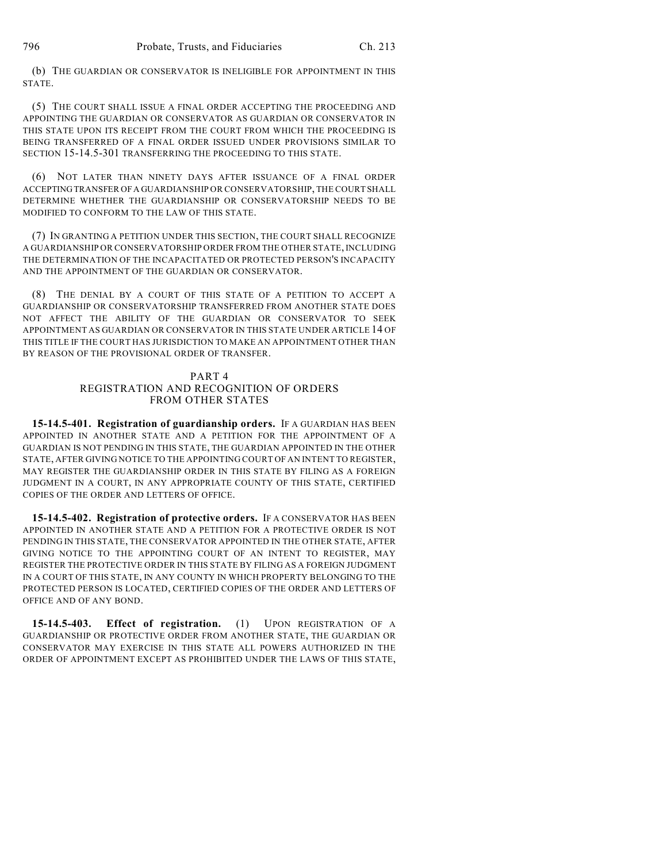(b) THE GUARDIAN OR CONSERVATOR IS INELIGIBLE FOR APPOINTMENT IN THIS STATE.

(5) THE COURT SHALL ISSUE A FINAL ORDER ACCEPTING THE PROCEEDING AND APPOINTING THE GUARDIAN OR CONSERVATOR AS GUARDIAN OR CONSERVATOR IN THIS STATE UPON ITS RECEIPT FROM THE COURT FROM WHICH THE PROCEEDING IS BEING TRANSFERRED OF A FINAL ORDER ISSUED UNDER PROVISIONS SIMILAR TO SECTION 15-14.5-301 TRANSFERRING THE PROCEEDING TO THIS STATE.

(6) NOT LATER THAN NINETY DAYS AFTER ISSUANCE OF A FINAL ORDER ACCEPTING TRANSFER OF A GUARDIANSHIP OR CONSERVATORSHIP, THE COURT SHALL DETERMINE WHETHER THE GUARDIANSHIP OR CONSERVATORSHIP NEEDS TO BE MODIFIED TO CONFORM TO THE LAW OF THIS STATE.

(7) IN GRANTING A PETITION UNDER THIS SECTION, THE COURT SHALL RECOGNIZE A GUARDIANSHIP OR CONSERVATORSHIP ORDER FROM THE OTHER STATE, INCLUDING THE DETERMINATION OF THE INCAPACITATED OR PROTECTED PERSON'S INCAPACITY AND THE APPOINTMENT OF THE GUARDIAN OR CONSERVATOR.

(8) THE DENIAL BY A COURT OF THIS STATE OF A PETITION TO ACCEPT A GUARDIANSHIP OR CONSERVATORSHIP TRANSFERRED FROM ANOTHER STATE DOES NOT AFFECT THE ABILITY OF THE GUARDIAN OR CONSERVATOR TO SEEK APPOINTMENT AS GUARDIAN OR CONSERVATOR IN THIS STATE UNDER ARTICLE 14 OF THIS TITLE IF THE COURT HAS JURISDICTION TO MAKE AN APPOINTMENT OTHER THAN BY REASON OF THE PROVISIONAL ORDER OF TRANSFER.

## PART 4 REGISTRATION AND RECOGNITION OF ORDERS FROM OTHER STATES

**15-14.5-401. Registration of guardianship orders.** IF A GUARDIAN HAS BEEN APPOINTED IN ANOTHER STATE AND A PETITION FOR THE APPOINTMENT OF A GUARDIAN IS NOT PENDING IN THIS STATE, THE GUARDIAN APPOINTED IN THE OTHER STATE, AFTER GIVING NOTICE TO THE APPOINTING COURT OF AN INTENT TO REGISTER, MAY REGISTER THE GUARDIANSHIP ORDER IN THIS STATE BY FILING AS A FOREIGN JUDGMENT IN A COURT, IN ANY APPROPRIATE COUNTY OF THIS STATE, CERTIFIED COPIES OF THE ORDER AND LETTERS OF OFFICE.

**15-14.5-402. Registration of protective orders.** IF A CONSERVATOR HAS BEEN APPOINTED IN ANOTHER STATE AND A PETITION FOR A PROTECTIVE ORDER IS NOT PENDING IN THIS STATE, THE CONSERVATOR APPOINTED IN THE OTHER STATE, AFTER GIVING NOTICE TO THE APPOINTING COURT OF AN INTENT TO REGISTER, MAY REGISTER THE PROTECTIVE ORDER IN THIS STATE BY FILING AS A FOREIGN JUDGMENT IN A COURT OF THIS STATE, IN ANY COUNTY IN WHICH PROPERTY BELONGING TO THE PROTECTED PERSON IS LOCATED, CERTIFIED COPIES OF THE ORDER AND LETTERS OF OFFICE AND OF ANY BOND.

**15-14.5-403. Effect of registration.** (1) UPON REGISTRATION OF A GUARDIANSHIP OR PROTECTIVE ORDER FROM ANOTHER STATE, THE GUARDIAN OR CONSERVATOR MAY EXERCISE IN THIS STATE ALL POWERS AUTHORIZED IN THE ORDER OF APPOINTMENT EXCEPT AS PROHIBITED UNDER THE LAWS OF THIS STATE,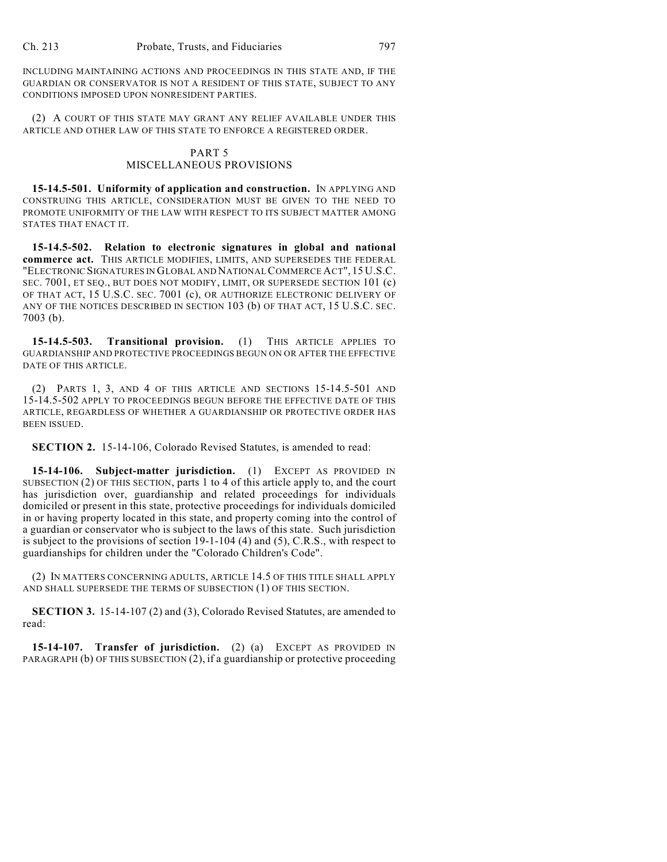INCLUDING MAINTAINING ACTIONS AND PROCEEDINGS IN THIS STATE AND, IF THE GUARDIAN OR CONSERVATOR IS NOT A RESIDENT OF THIS STATE, SUBJECT TO ANY CONDITIONS IMPOSED UPON NONRESIDENT PARTIES.

(2) A COURT OF THIS STATE MAY GRANT ANY RELIEF AVAILABLE UNDER THIS ARTICLE AND OTHER LAW OF THIS STATE TO ENFORCE A REGISTERED ORDER.

## PART 5 MISCELLANEOUS PROVISIONS

**15-14.5-501. Uniformity of application and construction.** IN APPLYING AND CONSTRUING THIS ARTICLE, CONSIDERATION MUST BE GIVEN TO THE NEED TO PROMOTE UNIFORMITY OF THE LAW WITH RESPECT TO ITS SUBJECT MATTER AMONG STATES THAT ENACT IT.

**15-14.5-502. Relation to electronic signatures in global and national commerce act.** THIS ARTICLE MODIFIES, LIMITS, AND SUPERSEDES THE FEDERAL "ELECTRONIC SIGNATURES IN GLOBAL AND NATIONAL COMMERCE ACT", 15 U.S.C. SEC. 7001, ET SEQ., BUT DOES NOT MODIFY, LIMIT, OR SUPERSEDE SECTION 101 (c) OF THAT ACT, 15 U.S.C. SEC. 7001 (c), OR AUTHORIZE ELECTRONIC DELIVERY OF ANY OF THE NOTICES DESCRIBED IN SECTION 103 (b) OF THAT ACT, 15 U.S.C. SEC. 7003 (b).

**15-14.5-503. Transitional provision.** (1) THIS ARTICLE APPLIES TO GUARDIANSHIP AND PROTECTIVE PROCEEDINGS BEGUN ON OR AFTER THE EFFECTIVE DATE OF THIS ARTICLE.

(2) PARTS 1, 3, AND 4 OF THIS ARTICLE AND SECTIONS 15-14.5-501 AND 15-14.5-502 APPLY TO PROCEEDINGS BEGUN BEFORE THE EFFECTIVE DATE OF THIS ARTICLE, REGARDLESS OF WHETHER A GUARDIANSHIP OR PROTECTIVE ORDER HAS BEEN ISSUED.

**SECTION 2.** 15-14-106, Colorado Revised Statutes, is amended to read:

**15-14-106. Subject-matter jurisdiction.** (1) EXCEPT AS PROVIDED IN SUBSECTION (2) OF THIS SECTION, parts 1 to 4 of this article apply to, and the court has jurisdiction over, guardianship and related proceedings for individuals domiciled or present in this state, protective proceedings for individuals domiciled in or having property located in this state, and property coming into the control of a guardian or conservator who is subject to the laws of this state. Such jurisdiction is subject to the provisions of section 19-1-104 (4) and (5), C.R.S., with respect to guardianships for children under the "Colorado Children's Code".

(2) IN MATTERS CONCERNING ADULTS, ARTICLE 14.5 OF THIS TITLE SHALL APPLY AND SHALL SUPERSEDE THE TERMS OF SUBSECTION (1) OF THIS SECTION.

**SECTION 3.** 15-14-107 (2) and (3), Colorado Revised Statutes, are amended to read:

**15-14-107. Transfer of jurisdiction.** (2) (a) EXCEPT AS PROVIDED IN PARAGRAPH (b) OF THIS SUBSECTION (2), if a guardianship or protective proceeding